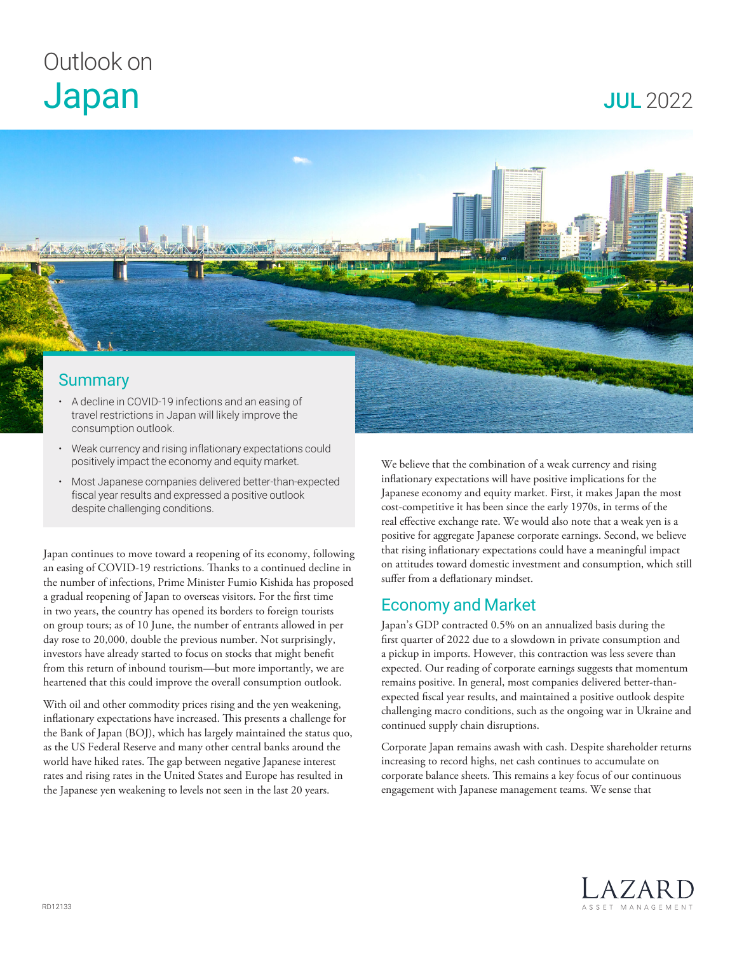## Outlook on Japan

JUL 2022



- Weak currency and rising inflationary expectations could positively impact the economy and equity market.
- Most Japanese companies delivered better-than-expected fiscal year results and expressed a positive outlook despite challenging conditions.

Japan continues to move toward a reopening of its economy, following an easing of COVID-19 restrictions. Thanks to a continued decline in the number of infections, Prime Minister Fumio Kishida has proposed a gradual reopening of Japan to overseas visitors. For the first time in two years, the country has opened its borders to foreign tourists on group tours; as of 10 June, the number of entrants allowed in per day rose to 20,000, double the previous number. Not surprisingly, investors have already started to focus on stocks that might benefit from this return of inbound tourism—but more importantly, we are heartened that this could improve the overall consumption outlook.

With oil and other commodity prices rising and the yen weakening, inflationary expectations have increased. This presents a challenge for the Bank of Japan (BOJ), which has largely maintained the status quo, as the US Federal Reserve and many other central banks around the world have hiked rates. The gap between negative Japanese interest rates and rising rates in the United States and Europe has resulted in the Japanese yen weakening to levels not seen in the last 20 years.

We believe that the combination of a weak currency and rising inflationary expectations will have positive implications for the Japanese economy and equity market. First, it makes Japan the most cost-competitive it has been since the early 1970s, in terms of the real effective exchange rate. We would also note that a weak yen is a positive for aggregate Japanese corporate earnings. Second, we believe that rising inflationary expectations could have a meaningful impact on attitudes toward domestic investment and consumption, which still suffer from a deflationary mindset.

## Economy and Market

Japan's GDP contracted 0.5% on an annualized basis during the first quarter of 2022 due to a slowdown in private consumption and a pickup in imports. However, this contraction was less severe than expected. Our reading of corporate earnings suggests that momentum remains positive. In general, most companies delivered better-thanexpected fiscal year results, and maintained a positive outlook despite challenging macro conditions, such as the ongoing war in Ukraine and continued supply chain disruptions.

Corporate Japan remains awash with cash. Despite shareholder returns increasing to record highs, net cash continues to accumulate on corporate balance sheets. This remains a key focus of our continuous engagement with Japanese management teams. We sense that